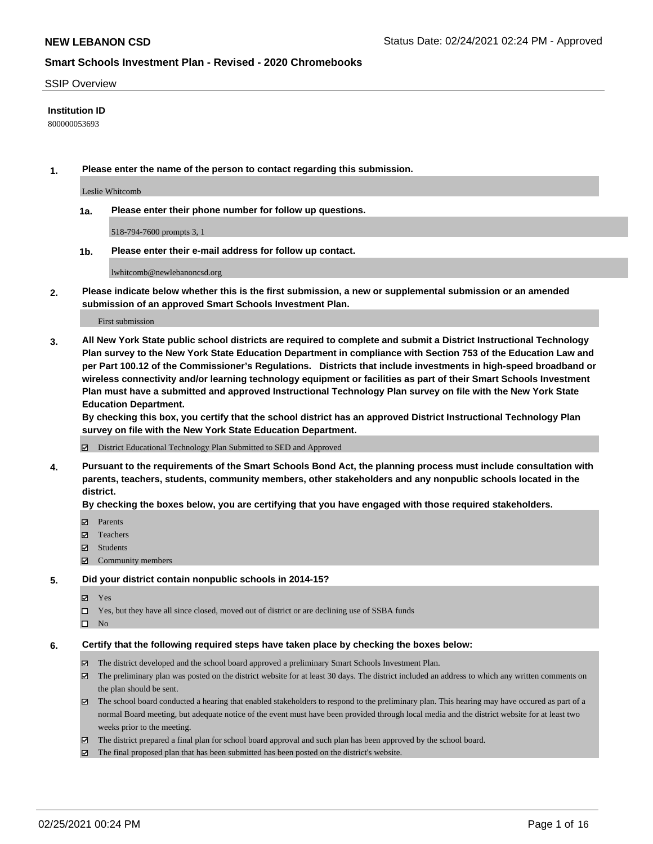### SSIP Overview

### **Institution ID**

800000053693

**1. Please enter the name of the person to contact regarding this submission.**

Leslie Whitcomb

**1a. Please enter their phone number for follow up questions.**

518-794-7600 prompts 3, 1

**1b. Please enter their e-mail address for follow up contact.**

lwhitcomb@newlebanoncsd.org

**2. Please indicate below whether this is the first submission, a new or supplemental submission or an amended submission of an approved Smart Schools Investment Plan.**

#### First submission

**3. All New York State public school districts are required to complete and submit a District Instructional Technology Plan survey to the New York State Education Department in compliance with Section 753 of the Education Law and per Part 100.12 of the Commissioner's Regulations. Districts that include investments in high-speed broadband or wireless connectivity and/or learning technology equipment or facilities as part of their Smart Schools Investment Plan must have a submitted and approved Instructional Technology Plan survey on file with the New York State Education Department.** 

**By checking this box, you certify that the school district has an approved District Instructional Technology Plan survey on file with the New York State Education Department.**

District Educational Technology Plan Submitted to SED and Approved

**4. Pursuant to the requirements of the Smart Schools Bond Act, the planning process must include consultation with parents, teachers, students, community members, other stakeholders and any nonpublic schools located in the district.** 

### **By checking the boxes below, you are certifying that you have engaged with those required stakeholders.**

- **□** Parents
- Teachers
- Students
- $\Xi$  Community members

#### **5. Did your district contain nonpublic schools in 2014-15?**

- Yes
- □ Yes, but they have all since closed, moved out of district or are declining use of SSBA funds
- $\hfill \square$  No

#### **6. Certify that the following required steps have taken place by checking the boxes below:**

- The district developed and the school board approved a preliminary Smart Schools Investment Plan.
- The preliminary plan was posted on the district website for at least 30 days. The district included an address to which any written comments on the plan should be sent.
- The school board conducted a hearing that enabled stakeholders to respond to the preliminary plan. This hearing may have occured as part of a normal Board meeting, but adequate notice of the event must have been provided through local media and the district website for at least two weeks prior to the meeting.
- The district prepared a final plan for school board approval and such plan has been approved by the school board.
- $\boxtimes$  The final proposed plan that has been submitted has been posted on the district's website.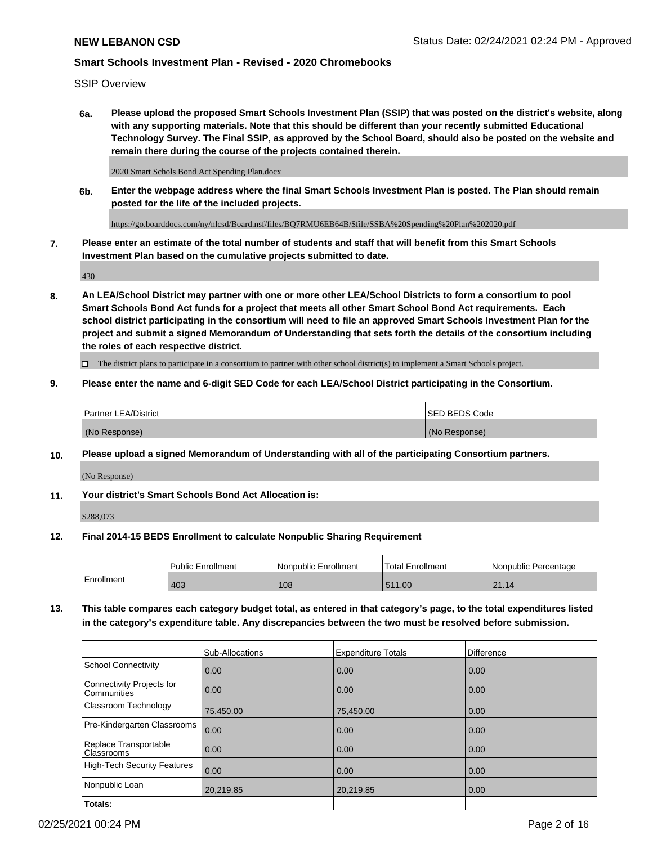SSIP Overview

**6a. Please upload the proposed Smart Schools Investment Plan (SSIP) that was posted on the district's website, along with any supporting materials. Note that this should be different than your recently submitted Educational Technology Survey. The Final SSIP, as approved by the School Board, should also be posted on the website and remain there during the course of the projects contained therein.**

2020 Smart Schols Bond Act Spending Plan.docx

**6b. Enter the webpage address where the final Smart Schools Investment Plan is posted. The Plan should remain posted for the life of the included projects.**

https://go.boarddocs.com/ny/nlcsd/Board.nsf/files/BQ7RMU6EB64B/\$file/SSBA%20Spending%20Plan%202020.pdf

**7. Please enter an estimate of the total number of students and staff that will benefit from this Smart Schools Investment Plan based on the cumulative projects submitted to date.**

430

**8. An LEA/School District may partner with one or more other LEA/School Districts to form a consortium to pool Smart Schools Bond Act funds for a project that meets all other Smart School Bond Act requirements. Each school district participating in the consortium will need to file an approved Smart Schools Investment Plan for the project and submit a signed Memorandum of Understanding that sets forth the details of the consortium including the roles of each respective district.**

 $\Box$  The district plans to participate in a consortium to partner with other school district(s) to implement a Smart Schools project.

### **9. Please enter the name and 6-digit SED Code for each LEA/School District participating in the Consortium.**

| Partner LEA/District | <b>ISED BEDS Code</b> |
|----------------------|-----------------------|
| (No Response)        | (No Response)         |

### **10. Please upload a signed Memorandum of Understanding with all of the participating Consortium partners.**

(No Response)

**11. Your district's Smart Schools Bond Act Allocation is:**

\$288,073

#### **12. Final 2014-15 BEDS Enrollment to calculate Nonpublic Sharing Requirement**

|            | Public Enrollment | Nonpublic Enrollment | 'Total Enrollment | l Nonpublic Percentage |
|------------|-------------------|----------------------|-------------------|------------------------|
| Enrollment | 403               | 108                  | 511.00            | $\Omega$<br>21.14      |

**13. This table compares each category budget total, as entered in that category's page, to the total expenditures listed in the category's expenditure table. Any discrepancies between the two must be resolved before submission.**

|                                          | Sub-Allocations | <b>Expenditure Totals</b> | <b>Difference</b> |
|------------------------------------------|-----------------|---------------------------|-------------------|
| <b>School Connectivity</b>               | 0.00            | 0.00                      | 0.00              |
| Connectivity Projects for<br>Communities | 0.00            | 0.00                      | 0.00              |
| Classroom Technology                     | 75,450.00       | 75,450.00                 | 0.00              |
| Pre-Kindergarten Classrooms              | 0.00            | 0.00                      | 0.00              |
| Replace Transportable<br>Classrooms      | 0.00            | 0.00                      | 0.00              |
| <b>High-Tech Security Features</b>       | 0.00            | 0.00                      | 0.00              |
| Nonpublic Loan                           | 20,219.85       | 20,219.85                 | 0.00              |
| Totals:                                  |                 |                           |                   |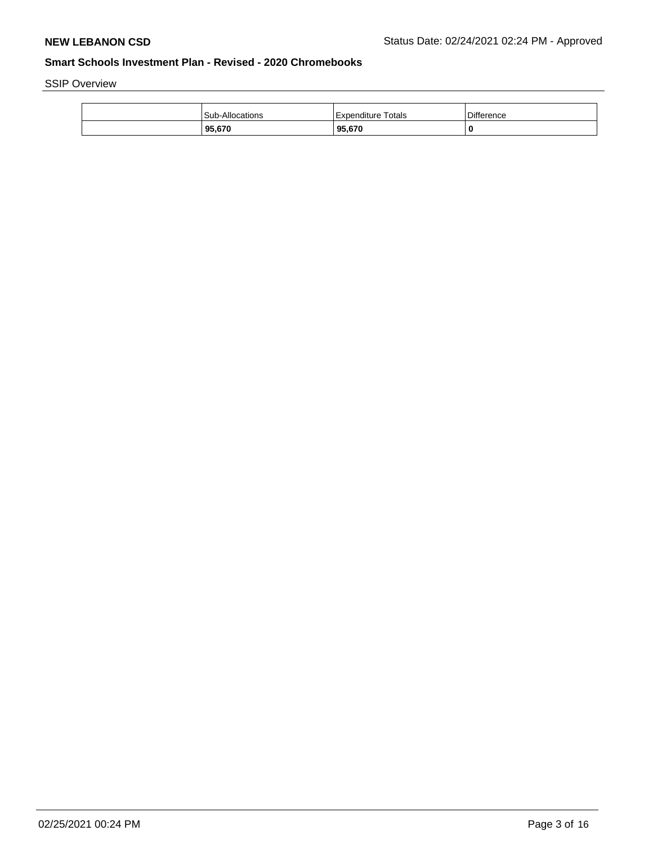SSIP Overview

| Sub-Allocations | Totals<br>Expenditure | Difference |
|-----------------|-----------------------|------------|
| 95,670          | 95,670                |            |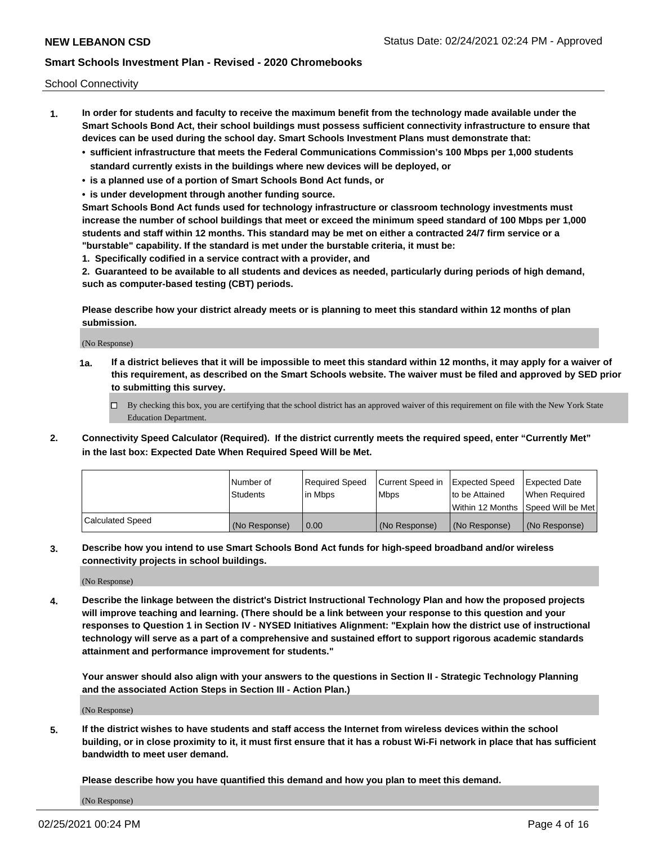School Connectivity

- **1. In order for students and faculty to receive the maximum benefit from the technology made available under the Smart Schools Bond Act, their school buildings must possess sufficient connectivity infrastructure to ensure that devices can be used during the school day. Smart Schools Investment Plans must demonstrate that:**
	- **• sufficient infrastructure that meets the Federal Communications Commission's 100 Mbps per 1,000 students standard currently exists in the buildings where new devices will be deployed, or**
	- **• is a planned use of a portion of Smart Schools Bond Act funds, or**
	- **• is under development through another funding source.**

**Smart Schools Bond Act funds used for technology infrastructure or classroom technology investments must increase the number of school buildings that meet or exceed the minimum speed standard of 100 Mbps per 1,000 students and staff within 12 months. This standard may be met on either a contracted 24/7 firm service or a "burstable" capability. If the standard is met under the burstable criteria, it must be:**

**1. Specifically codified in a service contract with a provider, and**

**2. Guaranteed to be available to all students and devices as needed, particularly during periods of high demand, such as computer-based testing (CBT) periods.**

**Please describe how your district already meets or is planning to meet this standard within 12 months of plan submission.**

(No Response)

**1a. If a district believes that it will be impossible to meet this standard within 12 months, it may apply for a waiver of this requirement, as described on the Smart Schools website. The waiver must be filed and approved by SED prior to submitting this survey.**

 $\Box$  By checking this box, you are certifying that the school district has an approved waiver of this requirement on file with the New York State Education Department.

**2. Connectivity Speed Calculator (Required). If the district currently meets the required speed, enter "Currently Met" in the last box: Expected Date When Required Speed Will be Met.**

|                  | l Number of     | Required Speed | Current Speed in | Expected Speed  | <b>Expected Date</b>                    |
|------------------|-----------------|----------------|------------------|-----------------|-----------------------------------------|
|                  | <b>Students</b> | In Mbps        | l Mbps           | Ito be Attained | When Required                           |
|                  |                 |                |                  |                 | l Within 12 Months ISpeed Will be Met l |
| Calculated Speed | (No Response)   | 0.00           | (No Response)    | (No Response)   | (No Response)                           |

**3. Describe how you intend to use Smart Schools Bond Act funds for high-speed broadband and/or wireless connectivity projects in school buildings.**

(No Response)

**4. Describe the linkage between the district's District Instructional Technology Plan and how the proposed projects will improve teaching and learning. (There should be a link between your response to this question and your responses to Question 1 in Section IV - NYSED Initiatives Alignment: "Explain how the district use of instructional technology will serve as a part of a comprehensive and sustained effort to support rigorous academic standards attainment and performance improvement for students."** 

**Your answer should also align with your answers to the questions in Section II - Strategic Technology Planning and the associated Action Steps in Section III - Action Plan.)**

(No Response)

**5. If the district wishes to have students and staff access the Internet from wireless devices within the school building, or in close proximity to it, it must first ensure that it has a robust Wi-Fi network in place that has sufficient bandwidth to meet user demand.**

**Please describe how you have quantified this demand and how you plan to meet this demand.**

(No Response)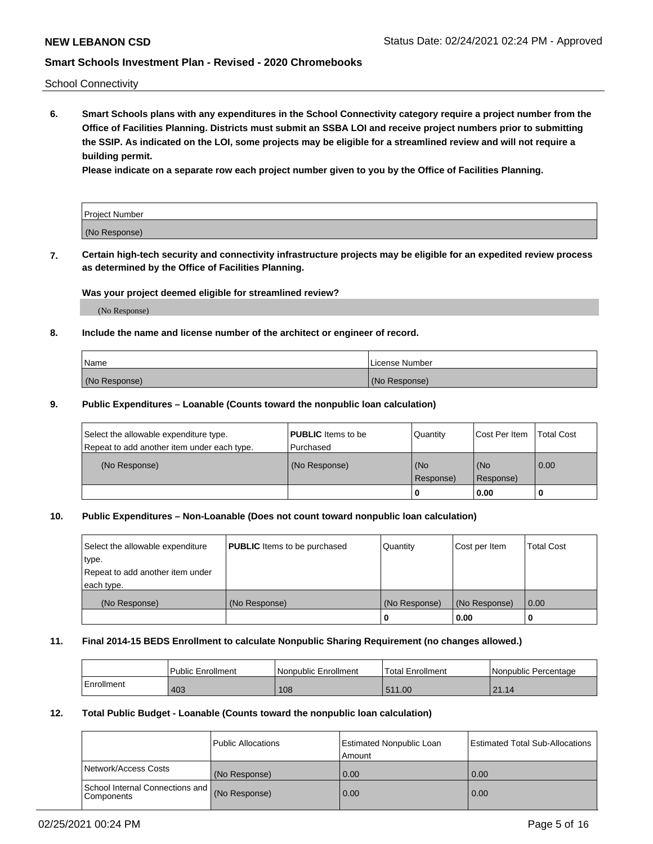School Connectivity

**6. Smart Schools plans with any expenditures in the School Connectivity category require a project number from the Office of Facilities Planning. Districts must submit an SSBA LOI and receive project numbers prior to submitting the SSIP. As indicated on the LOI, some projects may be eligible for a streamlined review and will not require a building permit.**

**Please indicate on a separate row each project number given to you by the Office of Facilities Planning.**

| Project Number |  |
|----------------|--|
| (No Response)  |  |

**7. Certain high-tech security and connectivity infrastructure projects may be eligible for an expedited review process as determined by the Office of Facilities Planning.**

### **Was your project deemed eligible for streamlined review?**

(No Response)

### **8. Include the name and license number of the architect or engineer of record.**

| Name          | License Number |
|---------------|----------------|
| (No Response) | (No Response)  |

### **9. Public Expenditures – Loanable (Counts toward the nonpublic loan calculation)**

| Select the allowable expenditure type.<br>Repeat to add another item under each type. | <b>PUBLIC</b> Items to be<br>l Purchased | Quantity           | Cost Per Item    | <b>Total Cost</b> |
|---------------------------------------------------------------------------------------|------------------------------------------|--------------------|------------------|-------------------|
| (No Response)                                                                         | (No Response)                            | l (No<br>Response) | (No<br>Response) | $\overline{0.00}$ |
|                                                                                       |                                          | O                  | 0.00             |                   |

### **10. Public Expenditures – Non-Loanable (Does not count toward nonpublic loan calculation)**

| Select the allowable expenditure<br>type.<br>Repeat to add another item under<br>each type. | <b>PUBLIC</b> Items to be purchased | Quantity      | Cost per Item | <b>Total Cost</b> |
|---------------------------------------------------------------------------------------------|-------------------------------------|---------------|---------------|-------------------|
| (No Response)                                                                               | (No Response)                       | (No Response) | (No Response) | 0.00              |
|                                                                                             |                                     |               | 0.00          |                   |

#### **11. Final 2014-15 BEDS Enrollment to calculate Nonpublic Sharing Requirement (no changes allowed.)**

|            | Public Enrollment | l Nonpublic Enrollment | <b>Total Enrollment</b> | Nonpublic Percentage |
|------------|-------------------|------------------------|-------------------------|----------------------|
| Enrollment | 403               | 108                    | 511.00                  | 21.14                |

### **12. Total Public Budget - Loanable (Counts toward the nonpublic loan calculation)**

|                                                      | Public Allocations | <b>Estimated Nonpublic Loan</b><br>Amount | Estimated Total Sub-Allocations |
|------------------------------------------------------|--------------------|-------------------------------------------|---------------------------------|
| Network/Access Costs                                 | (No Response)      | 0.00                                      | 0.00                            |
| School Internal Connections and<br><b>Components</b> | (No Response)      | 0.00                                      | 0.00                            |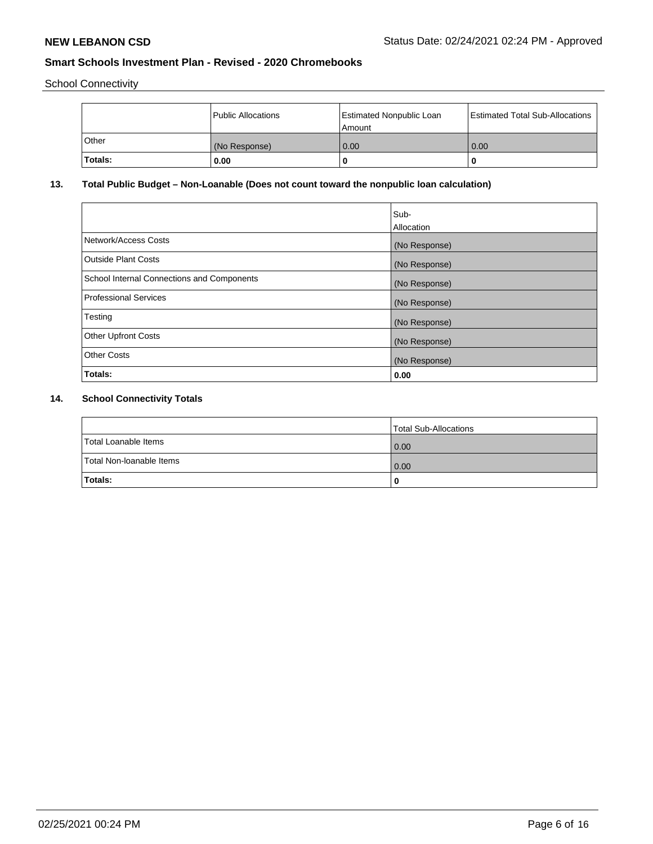School Connectivity

|         | Public Allocations | <b>Estimated Nonpublic Loan</b><br>l Amount | <b>Estimated Total Sub-Allocations  </b> |
|---------|--------------------|---------------------------------------------|------------------------------------------|
| Other   | (No Response)      | 0.00                                        | 0.00                                     |
| Totals: | 0.00               | 0                                           |                                          |

# **13. Total Public Budget – Non-Loanable (Does not count toward the nonpublic loan calculation)**

|                                                   | Sub-<br>Allocation |
|---------------------------------------------------|--------------------|
| Network/Access Costs                              | (No Response)      |
| Outside Plant Costs                               | (No Response)      |
| <b>School Internal Connections and Components</b> | (No Response)      |
| Professional Services                             | (No Response)      |
| Testing                                           | (No Response)      |
| <b>Other Upfront Costs</b>                        | (No Response)      |
| <b>Other Costs</b>                                | (No Response)      |
| Totals:                                           | 0.00               |

# **14. School Connectivity Totals**

|                          | Total Sub-Allocations |
|--------------------------|-----------------------|
| Total Loanable Items     | 0.00                  |
| Total Non-Ioanable Items | 0.00                  |
| Totals:                  | 0                     |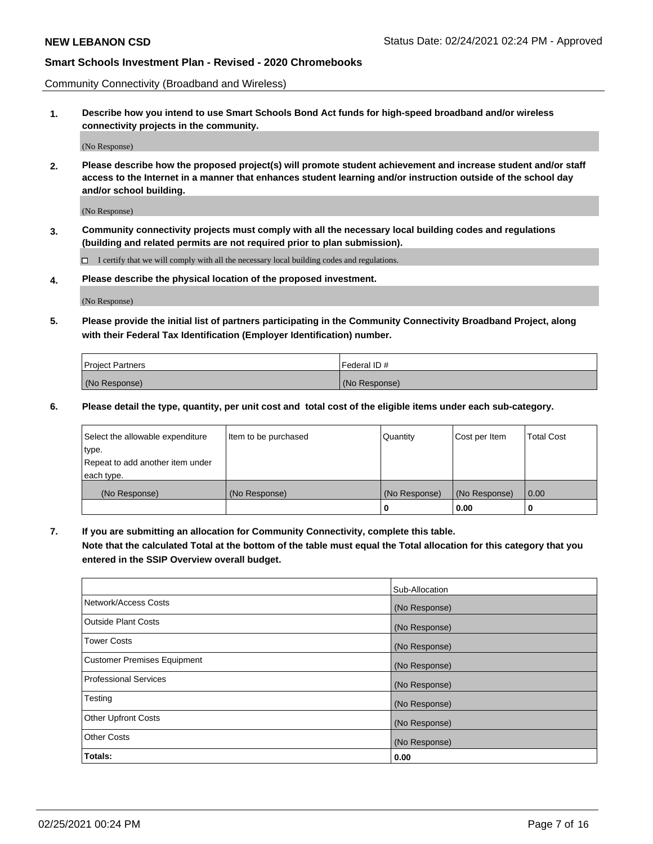Community Connectivity (Broadband and Wireless)

**1. Describe how you intend to use Smart Schools Bond Act funds for high-speed broadband and/or wireless connectivity projects in the community.**

(No Response)

**2. Please describe how the proposed project(s) will promote student achievement and increase student and/or staff access to the Internet in a manner that enhances student learning and/or instruction outside of the school day and/or school building.**

(No Response)

**3. Community connectivity projects must comply with all the necessary local building codes and regulations (building and related permits are not required prior to plan submission).**

 $\Box$  I certify that we will comply with all the necessary local building codes and regulations.

**4. Please describe the physical location of the proposed investment.**

(No Response)

**5. Please provide the initial list of partners participating in the Community Connectivity Broadband Project, along with their Federal Tax Identification (Employer Identification) number.**

| <b>Project Partners</b> | l Federal ID # |
|-------------------------|----------------|
| (No Response)           | (No Response)  |

**6. Please detail the type, quantity, per unit cost and total cost of the eligible items under each sub-category.**

| Select the allowable expenditure | Item to be purchased | Quantity      | Cost per Item | <b>Total Cost</b> |
|----------------------------------|----------------------|---------------|---------------|-------------------|
| type.                            |                      |               |               |                   |
| Repeat to add another item under |                      |               |               |                   |
| each type.                       |                      |               |               |                   |
| (No Response)                    | (No Response)        | (No Response) | (No Response) | 0.00              |
|                                  |                      | o             | 0.00          |                   |

**7. If you are submitting an allocation for Community Connectivity, complete this table.**

**Note that the calculated Total at the bottom of the table must equal the Total allocation for this category that you entered in the SSIP Overview overall budget.**

|                                    | Sub-Allocation |
|------------------------------------|----------------|
| Network/Access Costs               | (No Response)  |
| Outside Plant Costs                | (No Response)  |
| <b>Tower Costs</b>                 | (No Response)  |
| <b>Customer Premises Equipment</b> | (No Response)  |
| <b>Professional Services</b>       | (No Response)  |
| Testing                            | (No Response)  |
| <b>Other Upfront Costs</b>         | (No Response)  |
| <b>Other Costs</b>                 | (No Response)  |
| Totals:                            | 0.00           |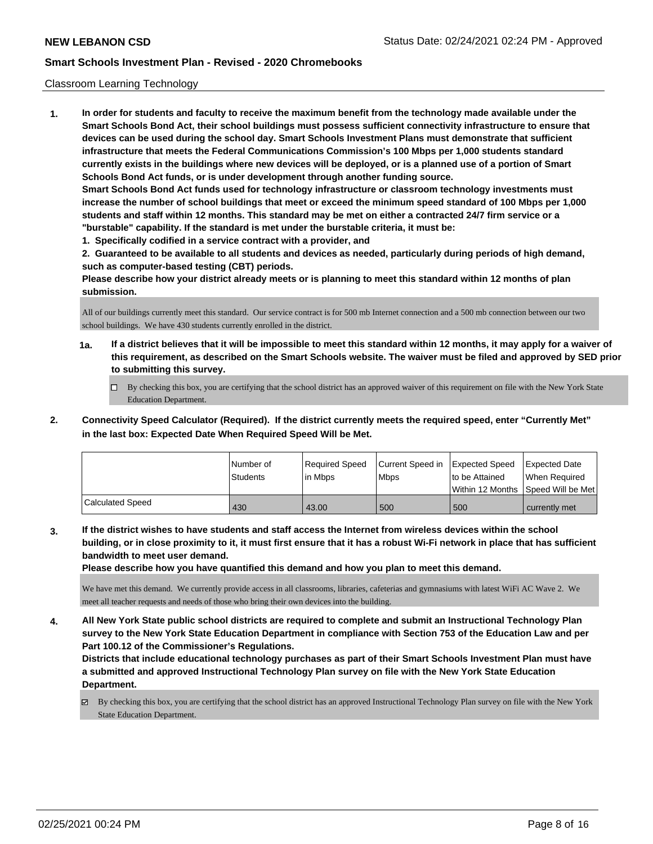### Classroom Learning Technology

**1. In order for students and faculty to receive the maximum benefit from the technology made available under the Smart Schools Bond Act, their school buildings must possess sufficient connectivity infrastructure to ensure that devices can be used during the school day. Smart Schools Investment Plans must demonstrate that sufficient infrastructure that meets the Federal Communications Commission's 100 Mbps per 1,000 students standard currently exists in the buildings where new devices will be deployed, or is a planned use of a portion of Smart Schools Bond Act funds, or is under development through another funding source. Smart Schools Bond Act funds used for technology infrastructure or classroom technology investments must increase the number of school buildings that meet or exceed the minimum speed standard of 100 Mbps per 1,000 students and staff within 12 months. This standard may be met on either a contracted 24/7 firm service or a "burstable" capability. If the standard is met under the burstable criteria, it must be:**

**1. Specifically codified in a service contract with a provider, and**

**2. Guaranteed to be available to all students and devices as needed, particularly during periods of high demand, such as computer-based testing (CBT) periods.**

**Please describe how your district already meets or is planning to meet this standard within 12 months of plan submission.**

All of our buildings currently meet this standard. Our service contract is for 500 mb Internet connection and a 500 mb connection between our two school buildings. We have 430 students currently enrolled in the district.

- **1a. If a district believes that it will be impossible to meet this standard within 12 months, it may apply for a waiver of this requirement, as described on the Smart Schools website. The waiver must be filed and approved by SED prior to submitting this survey.**
	- By checking this box, you are certifying that the school district has an approved waiver of this requirement on file with the New York State Education Department.
- **2. Connectivity Speed Calculator (Required). If the district currently meets the required speed, enter "Currently Met" in the last box: Expected Date When Required Speed Will be Met.**

|                         | l Number of<br><b>Students</b> | Required Speed<br>l in Mbps | Current Speed in<br>l Mbps | <b>Expected Speed</b><br>to be Attained | <b>Expected Date</b><br>When Required<br> Within 12 Months  Speed Will be Met |
|-------------------------|--------------------------------|-----------------------------|----------------------------|-----------------------------------------|-------------------------------------------------------------------------------|
| <b>Calculated Speed</b> | 430                            | 43.00                       | 500                        | 500                                     | currently met                                                                 |

**3. If the district wishes to have students and staff access the Internet from wireless devices within the school building, or in close proximity to it, it must first ensure that it has a robust Wi-Fi network in place that has sufficient bandwidth to meet user demand.**

**Please describe how you have quantified this demand and how you plan to meet this demand.**

We have met this demand. We currently provide access in all classrooms, libraries, cafeterias and gymnasiums with latest WiFi AC Wave 2. We meet all teacher requests and needs of those who bring their own devices into the building.

**4. All New York State public school districts are required to complete and submit an Instructional Technology Plan survey to the New York State Education Department in compliance with Section 753 of the Education Law and per Part 100.12 of the Commissioner's Regulations.**

**Districts that include educational technology purchases as part of their Smart Schools Investment Plan must have a submitted and approved Instructional Technology Plan survey on file with the New York State Education Department.**

By checking this box, you are certifying that the school district has an approved Instructional Technology Plan survey on file with the New York State Education Department.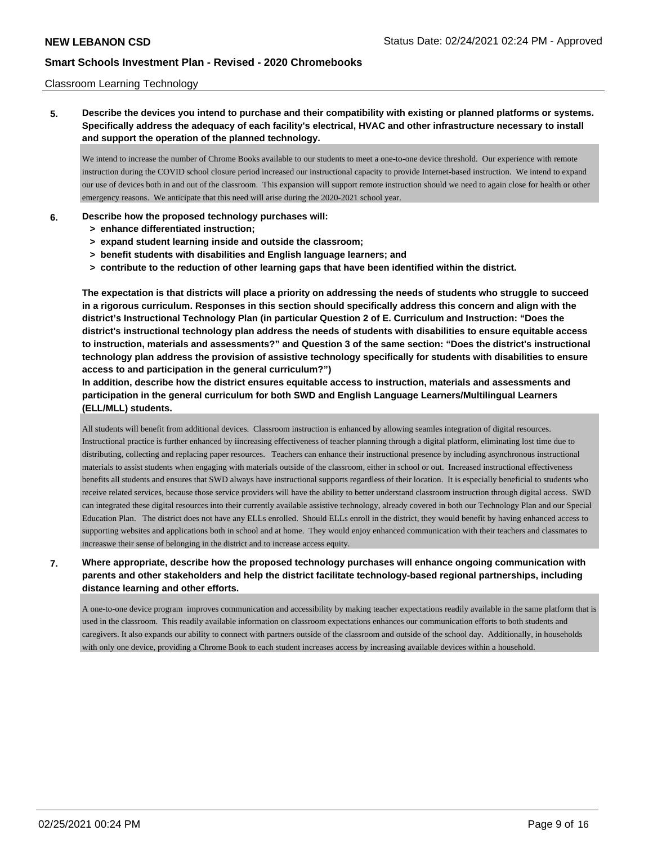### Classroom Learning Technology

**5. Describe the devices you intend to purchase and their compatibility with existing or planned platforms or systems. Specifically address the adequacy of each facility's electrical, HVAC and other infrastructure necessary to install and support the operation of the planned technology.**

We intend to increase the number of Chrome Books available to our students to meet a one-to-one device threshold. Our experience with remote instruction during the COVID school closure period increased our instructional capacity to provide Internet-based instruction. We intend to expand our use of devices both in and out of the classroom. This expansion will support remote instruction should we need to again close for health or other emergency reasons. We anticipate that this need will arise during the 2020-2021 school year.

### **6. Describe how the proposed technology purchases will:**

- **> enhance differentiated instruction;**
- **> expand student learning inside and outside the classroom;**
- **> benefit students with disabilities and English language learners; and**
- **> contribute to the reduction of other learning gaps that have been identified within the district.**

**The expectation is that districts will place a priority on addressing the needs of students who struggle to succeed in a rigorous curriculum. Responses in this section should specifically address this concern and align with the district's Instructional Technology Plan (in particular Question 2 of E. Curriculum and Instruction: "Does the district's instructional technology plan address the needs of students with disabilities to ensure equitable access to instruction, materials and assessments?" and Question 3 of the same section: "Does the district's instructional technology plan address the provision of assistive technology specifically for students with disabilities to ensure access to and participation in the general curriculum?")**

**In addition, describe how the district ensures equitable access to instruction, materials and assessments and participation in the general curriculum for both SWD and English Language Learners/Multilingual Learners (ELL/MLL) students.**

All students will benefit from additional devices. Classroom instruction is enhanced by allowing seamles integration of digital resources. Instructional practice is further enhanced by iincreasing effectiveness of teacher planning through a digital platform, eliminating lost time due to distributing, collecting and replacing paper resources. Teachers can enhance their instructional presence by including asynchronous instructional materials to assist students when engaging with materials outside of the classroom, either in school or out. Increased instructional effectiveness benefits all students and ensures that SWD always have instructional supports regardless of their location. It is especially beneficial to students who receive related services, because those service providers will have the ability to better understand classroom instruction through digital access. SWD can integrated these digital resources into their currently available assistive technology, already covered in both our Technology Plan and our Special Education Plan. The district does not have any ELLs enrolled. Should ELLs enroll in the district, they would benefit by having enhanced access to supporting websites and applications both in school and at home. They would enjoy enhanced communication with their teachers and classmates to increaswe their sense of belonging in the district and to increase access equity.

### **7. Where appropriate, describe how the proposed technology purchases will enhance ongoing communication with parents and other stakeholders and help the district facilitate technology-based regional partnerships, including distance learning and other efforts.**

A one-to-one device program improves communication and accessibility by making teacher expectations readily available in the same platform that is used in the classroom. This readily available information on classroom expectations enhances our communication efforts to both students and caregivers. It also expands our ability to connect with partners outside of the classroom and outside of the school day. Additionally, in households with only one device, providing a Chrome Book to each student increases access by increasing available devices within a household.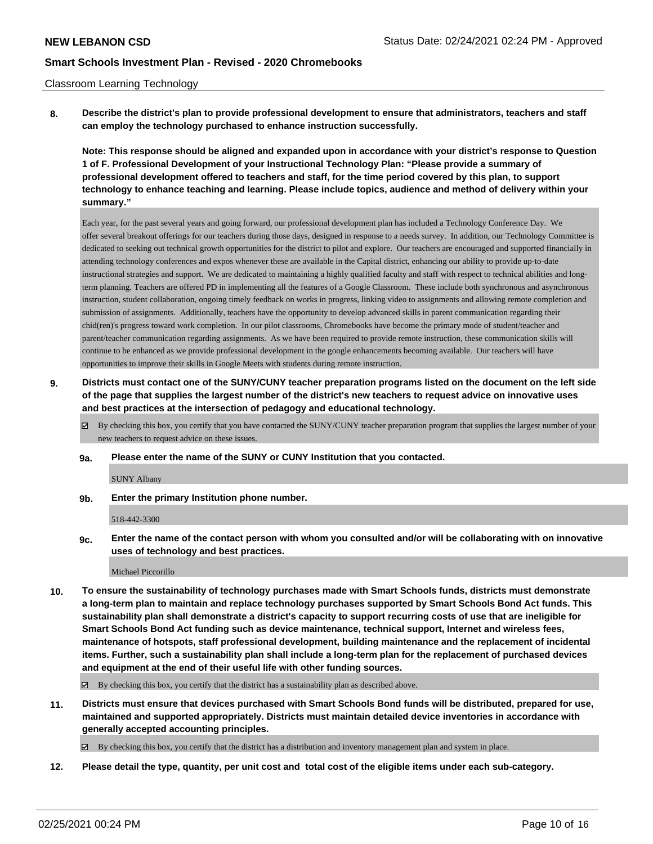### Classroom Learning Technology

**8. Describe the district's plan to provide professional development to ensure that administrators, teachers and staff can employ the technology purchased to enhance instruction successfully.**

**Note: This response should be aligned and expanded upon in accordance with your district's response to Question 1 of F. Professional Development of your Instructional Technology Plan: "Please provide a summary of professional development offered to teachers and staff, for the time period covered by this plan, to support technology to enhance teaching and learning. Please include topics, audience and method of delivery within your summary."**

Each year, for the past several years and going forward, our professional development plan has included a Technology Conference Day. We offer several breakout offerings for our teachers during those days, designed in response to a needs survey. In addition, our Technology Committee is dedicated to seeking out technical growth opportunities for the district to pilot and explore. Our teachers are encouraged and supported financially in attending technology conferences and expos whenever these are available in the Capital district, enhancing our ability to provide up-to-date instructional strategies and support. We are dedicated to maintaining a highly qualified faculty and staff with respect to technical abilities and longterm planning. Teachers are offered PD in implementing all the features of a Google Classroom. These include both synchronous and asynchronous instruction, student collaboration, ongoing timely feedback on works in progress, linking video to assignments and allowing remote completion and submission of assignments. Additionally, teachers have the opportunity to develop advanced skills in parent communication regarding their chid(ren)'s progress toward work completion. In our pilot classrooms, Chromebooks have become the primary mode of student/teacher and parent/teacher communication regarding assignments. As we have been required to provide remote instruction, these communication skills will continue to be enhanced as we provide professional development in the google enhancements becoming available. Our teachers will have opportunities to improve their skills in Google Meets with students during remote instruction.

- **9. Districts must contact one of the SUNY/CUNY teacher preparation programs listed on the document on the left side of the page that supplies the largest number of the district's new teachers to request advice on innovative uses and best practices at the intersection of pedagogy and educational technology.**
	- By checking this box, you certify that you have contacted the SUNY/CUNY teacher preparation program that supplies the largest number of your new teachers to request advice on these issues.
	- **9a. Please enter the name of the SUNY or CUNY Institution that you contacted.**

SUNY Albany

**9b. Enter the primary Institution phone number.**

518-442-3300

**9c. Enter the name of the contact person with whom you consulted and/or will be collaborating with on innovative uses of technology and best practices.**

Michael Piccorillo

**10. To ensure the sustainability of technology purchases made with Smart Schools funds, districts must demonstrate a long-term plan to maintain and replace technology purchases supported by Smart Schools Bond Act funds. This sustainability plan shall demonstrate a district's capacity to support recurring costs of use that are ineligible for Smart Schools Bond Act funding such as device maintenance, technical support, Internet and wireless fees, maintenance of hotspots, staff professional development, building maintenance and the replacement of incidental items. Further, such a sustainability plan shall include a long-term plan for the replacement of purchased devices and equipment at the end of their useful life with other funding sources.**

 $\boxtimes$  By checking this box, you certify that the district has a sustainability plan as described above.

**11. Districts must ensure that devices purchased with Smart Schools Bond funds will be distributed, prepared for use, maintained and supported appropriately. Districts must maintain detailed device inventories in accordance with generally accepted accounting principles.**

By checking this box, you certify that the district has a distribution and inventory management plan and system in place.

**12. Please detail the type, quantity, per unit cost and total cost of the eligible items under each sub-category.**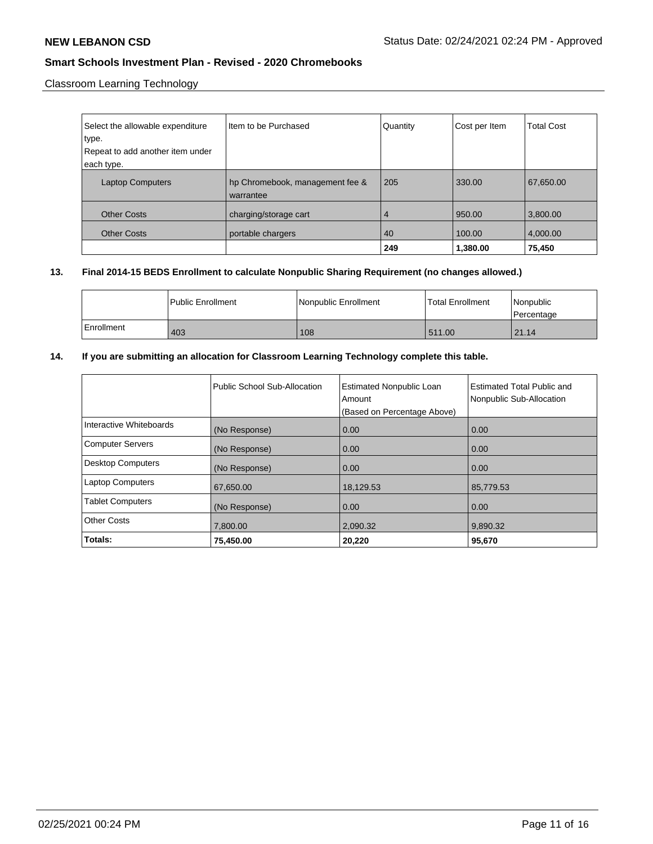Classroom Learning Technology

| Select the allowable expenditure | Item to be Purchased                         | Quantity | Cost per Item | <b>Total Cost</b> |
|----------------------------------|----------------------------------------------|----------|---------------|-------------------|
| type.                            |                                              |          |               |                   |
| Repeat to add another item under |                                              |          |               |                   |
| each type.                       |                                              |          |               |                   |
| <b>Laptop Computers</b>          | hp Chromebook, management fee &<br>warrantee | 205      | 330.00        | 67,650.00         |
| <b>Other Costs</b>               | charging/storage cart                        | 4        | 950.00        | 3,800.00          |
| <b>Other Costs</b>               | portable chargers                            | 40       | 100.00        | 4,000.00          |
|                                  |                                              | 249      | 1,380.00      | 75,450            |

## **13. Final 2014-15 BEDS Enrollment to calculate Nonpublic Sharing Requirement (no changes allowed.)**

|              | Public Enrollment | Nonpublic Enrollment | l Total Enrollment | l Nonpublic<br>l Percentage |
|--------------|-------------------|----------------------|--------------------|-----------------------------|
| l Enrollment | 403               | 108                  | 511.00             | 21.14                       |

## **14. If you are submitting an allocation for Classroom Learning Technology complete this table.**

|                          | Public School Sub-Allocation | <b>Estimated Nonpublic Loan</b><br>Amount<br>(Based on Percentage Above) | Estimated Total Public and<br>Nonpublic Sub-Allocation |
|--------------------------|------------------------------|--------------------------------------------------------------------------|--------------------------------------------------------|
| Interactive Whiteboards  | (No Response)                | 0.00                                                                     | 0.00                                                   |
| <b>Computer Servers</b>  | (No Response)                | 0.00                                                                     | 0.00                                                   |
| <b>Desktop Computers</b> | (No Response)                | 0.00                                                                     | 0.00                                                   |
| <b>Laptop Computers</b>  | 67,650.00                    | 18,129.53                                                                | 85,779.53                                              |
| <b>Tablet Computers</b>  | (No Response)                | 0.00                                                                     | 0.00                                                   |
| <b>Other Costs</b>       | 7,800.00                     | 2,090.32                                                                 | 9,890.32                                               |
| Totals:                  | 75,450.00                    | 20,220                                                                   | 95,670                                                 |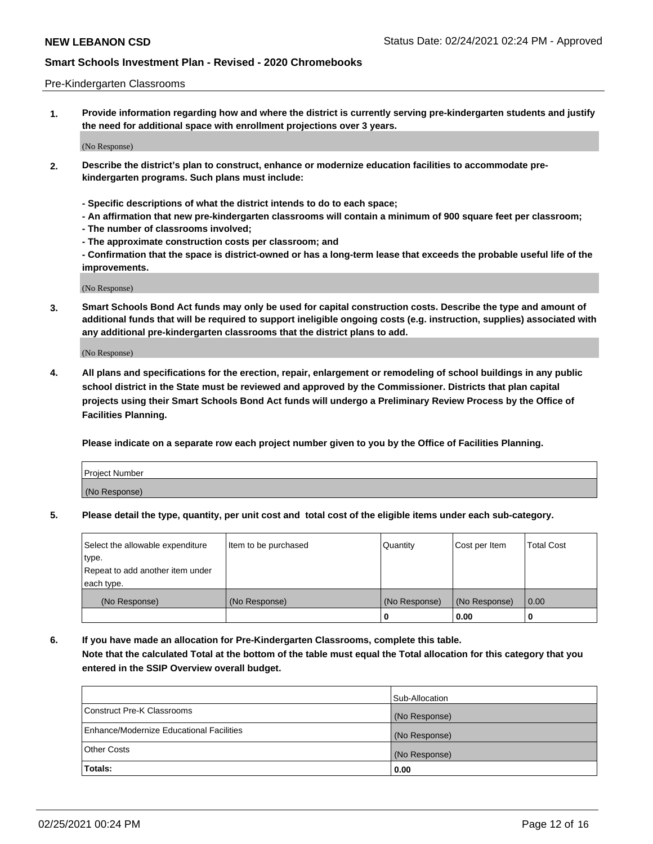### Pre-Kindergarten Classrooms

**1. Provide information regarding how and where the district is currently serving pre-kindergarten students and justify the need for additional space with enrollment projections over 3 years.**

(No Response)

- **2. Describe the district's plan to construct, enhance or modernize education facilities to accommodate prekindergarten programs. Such plans must include:**
	- **Specific descriptions of what the district intends to do to each space;**
	- **An affirmation that new pre-kindergarten classrooms will contain a minimum of 900 square feet per classroom;**
	- **The number of classrooms involved;**
	- **The approximate construction costs per classroom; and**
	- **Confirmation that the space is district-owned or has a long-term lease that exceeds the probable useful life of the improvements.**

(No Response)

**3. Smart Schools Bond Act funds may only be used for capital construction costs. Describe the type and amount of additional funds that will be required to support ineligible ongoing costs (e.g. instruction, supplies) associated with any additional pre-kindergarten classrooms that the district plans to add.**

(No Response)

**4. All plans and specifications for the erection, repair, enlargement or remodeling of school buildings in any public school district in the State must be reviewed and approved by the Commissioner. Districts that plan capital projects using their Smart Schools Bond Act funds will undergo a Preliminary Review Process by the Office of Facilities Planning.**

**Please indicate on a separate row each project number given to you by the Office of Facilities Planning.**

| Project Number |  |
|----------------|--|
| (No Response)  |  |
|                |  |

**5. Please detail the type, quantity, per unit cost and total cost of the eligible items under each sub-category.**

| Select the allowable expenditure | Item to be purchased | Quantity      | Cost per Item | <b>Total Cost</b> |
|----------------------------------|----------------------|---------------|---------------|-------------------|
| type.                            |                      |               |               |                   |
| Repeat to add another item under |                      |               |               |                   |
| each type.                       |                      |               |               |                   |
| (No Response)                    | (No Response)        | (No Response) | (No Response) | 0.00              |
|                                  |                      | υ             | 0.00          |                   |

**6. If you have made an allocation for Pre-Kindergarten Classrooms, complete this table. Note that the calculated Total at the bottom of the table must equal the Total allocation for this category that you entered in the SSIP Overview overall budget.**

|                                          | Sub-Allocation |
|------------------------------------------|----------------|
| Construct Pre-K Classrooms               | (No Response)  |
| Enhance/Modernize Educational Facilities | (No Response)  |
| <b>Other Costs</b>                       | (No Response)  |
| Totals:                                  | 0.00           |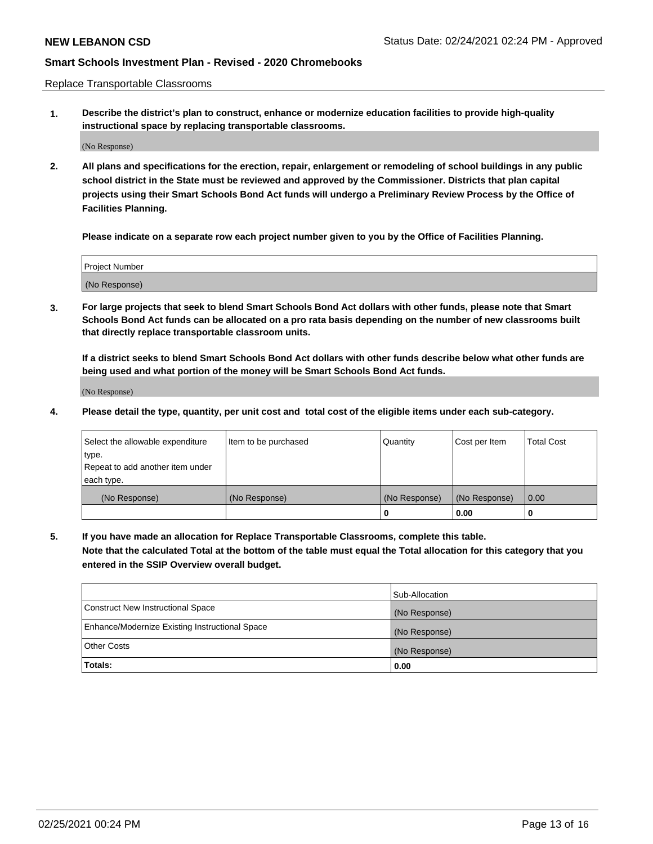Replace Transportable Classrooms

**1. Describe the district's plan to construct, enhance or modernize education facilities to provide high-quality instructional space by replacing transportable classrooms.**

(No Response)

**2. All plans and specifications for the erection, repair, enlargement or remodeling of school buildings in any public school district in the State must be reviewed and approved by the Commissioner. Districts that plan capital projects using their Smart Schools Bond Act funds will undergo a Preliminary Review Process by the Office of Facilities Planning.**

**Please indicate on a separate row each project number given to you by the Office of Facilities Planning.**

| Project Number |  |
|----------------|--|
|                |  |
|                |  |
|                |  |
|                |  |
| (No Response)  |  |
|                |  |
|                |  |
|                |  |

**3. For large projects that seek to blend Smart Schools Bond Act dollars with other funds, please note that Smart Schools Bond Act funds can be allocated on a pro rata basis depending on the number of new classrooms built that directly replace transportable classroom units.**

**If a district seeks to blend Smart Schools Bond Act dollars with other funds describe below what other funds are being used and what portion of the money will be Smart Schools Bond Act funds.**

(No Response)

**4. Please detail the type, quantity, per unit cost and total cost of the eligible items under each sub-category.**

| Select the allowable expenditure | Item to be purchased | Quantity      | Cost per Item | Total Cost |
|----------------------------------|----------------------|---------------|---------------|------------|
| ∣type.                           |                      |               |               |            |
| Repeat to add another item under |                      |               |               |            |
| each type.                       |                      |               |               |            |
| (No Response)                    | (No Response)        | (No Response) | (No Response) | 0.00       |
|                                  |                      | u             | 0.00          |            |

**5. If you have made an allocation for Replace Transportable Classrooms, complete this table. Note that the calculated Total at the bottom of the table must equal the Total allocation for this category that you entered in the SSIP Overview overall budget.**

|                                                | Sub-Allocation |
|------------------------------------------------|----------------|
| Construct New Instructional Space              | (No Response)  |
| Enhance/Modernize Existing Instructional Space | (No Response)  |
| Other Costs                                    | (No Response)  |
| Totals:                                        | 0.00           |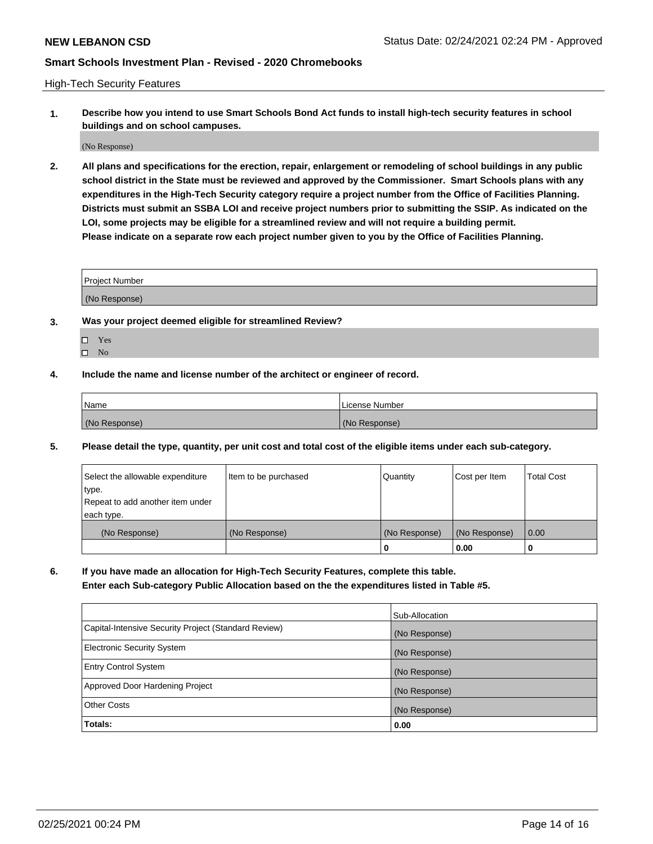High-Tech Security Features

**1. Describe how you intend to use Smart Schools Bond Act funds to install high-tech security features in school buildings and on school campuses.**

(No Response)

**2. All plans and specifications for the erection, repair, enlargement or remodeling of school buildings in any public school district in the State must be reviewed and approved by the Commissioner. Smart Schools plans with any expenditures in the High-Tech Security category require a project number from the Office of Facilities Planning. Districts must submit an SSBA LOI and receive project numbers prior to submitting the SSIP. As indicated on the LOI, some projects may be eligible for a streamlined review and will not require a building permit. Please indicate on a separate row each project number given to you by the Office of Facilities Planning.**

| <b>Project Number</b> |  |
|-----------------------|--|
|                       |  |
| (No Response)         |  |

- **3. Was your project deemed eligible for streamlined Review?**
	- Yes
	- $\hfill \square$  No
- **4. Include the name and license number of the architect or engineer of record.**

| Name          | License Number |
|---------------|----------------|
| (No Response) | (No Response)  |

**5. Please detail the type, quantity, per unit cost and total cost of the eligible items under each sub-category.**

| Select the allowable expenditure | Item to be purchased | Quantity      | Cost per Item | <b>Total Cost</b> |
|----------------------------------|----------------------|---------------|---------------|-------------------|
| type.                            |                      |               |               |                   |
| Repeat to add another item under |                      |               |               |                   |
| each type.                       |                      |               |               |                   |
| (No Response)                    | (No Response)        | (No Response) | (No Response) | 0.00              |
|                                  |                      | 0             | 0.00          |                   |

**6. If you have made an allocation for High-Tech Security Features, complete this table.**

**Enter each Sub-category Public Allocation based on the the expenditures listed in Table #5.**

|                                                      | Sub-Allocation |
|------------------------------------------------------|----------------|
| Capital-Intensive Security Project (Standard Review) | (No Response)  |
| <b>Electronic Security System</b>                    | (No Response)  |
| <b>Entry Control System</b>                          | (No Response)  |
| Approved Door Hardening Project                      | (No Response)  |
| <b>Other Costs</b>                                   | (No Response)  |
| Totals:                                              | 0.00           |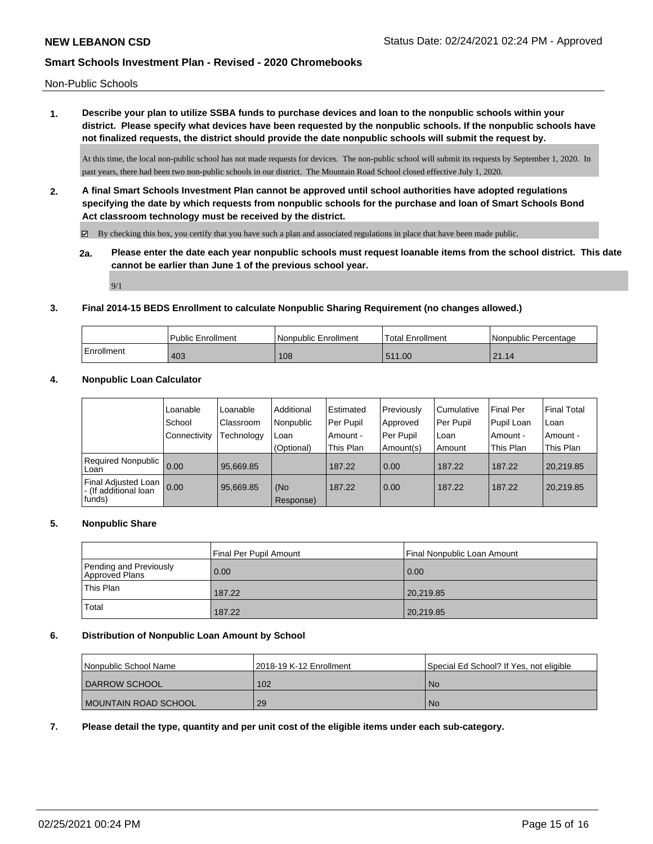Non-Public Schools

**1. Describe your plan to utilize SSBA funds to purchase devices and loan to the nonpublic schools within your district. Please specify what devices have been requested by the nonpublic schools. If the nonpublic schools have not finalized requests, the district should provide the date nonpublic schools will submit the request by.**

At this time, the local non-public school has not made requests for devices. The non-public school will submit its requests by September 1, 2020. In past years, there had been two non-public schools in our district. The Mountain Road School closed effective July 1, 2020.

**2. A final Smart Schools Investment Plan cannot be approved until school authorities have adopted regulations specifying the date by which requests from nonpublic schools for the purchase and loan of Smart Schools Bond Act classroom technology must be received by the district.**

 $\boxtimes$  By checking this box, you certify that you have such a plan and associated regulations in place that have been made public.

**2a. Please enter the date each year nonpublic schools must request loanable items from the school district. This date cannot be earlier than June 1 of the previous school year.**

9/1

### **3. Final 2014-15 BEDS Enrollment to calculate Nonpublic Sharing Requirement (no changes allowed.)**

|            | Public Enrollment | Nonpublic Enrollment | <sup>1</sup> Total Enrollment | I Nonpublic Percentage |
|------------|-------------------|----------------------|-------------------------------|------------------------|
| Enrollment | 403               | 108                  | 511.00                        | $\Omega$<br>14         |

### **4. Nonpublic Loan Calculator**

|                                                          | Loanable     | Loanable   | Additional       | Estimated | Previously | l Cumulative | <b>Final Per</b> | Final Total |
|----------------------------------------------------------|--------------|------------|------------------|-----------|------------|--------------|------------------|-------------|
|                                                          | School       | Classroom  | Nonpublic        | Per Pupil | Approved   | Per Pupil    | Pupil Loan       | ∣Loan       |
|                                                          | Connectivity | Technology | Loan             | Amount -  | Per Pupil  | Loan         | Amount -         | Amount -    |
|                                                          |              |            | (Optional)       | This Plan | Amount(s)  | Amount       | This Plan        | This Plan   |
| <b>Required Nonpublic</b><br>Loan                        | 0.00         | 95.669.85  |                  | 187.22    | 0.00       | 187.22       | 187.22           | 20.219.85   |
| Final Adjusted Loan<br>I - (If additional loan<br>funds) | 0.00         | 95,669.85  | (No<br>Response) | 187.22    | 0.00       | 187.22       | 187.22           | 20,219.85   |

#### **5. Nonpublic Share**

|                                          | Final Per Pupil Amount | Final Nonpublic Loan Amount |
|------------------------------------------|------------------------|-----------------------------|
| Pending and Previously<br>Approved Plans | 0.00                   | 0.00                        |
| 'This Plan                               | 187.22                 | 20,219.85                   |
| Total                                    | 187.22                 | 20,219.85                   |

#### **6. Distribution of Nonpublic Loan Amount by School**

| l Nonpublic School Name | 12018-19 K-12 Enrollment | Special Ed School? If Yes, not eligible |
|-------------------------|--------------------------|-----------------------------------------|
| <b>I DARROW SCHOOL</b>  | 102                      | l No                                    |
| I MOUNTAIN ROAD SCHOOL  | 29                       | l No                                    |

**7. Please detail the type, quantity and per unit cost of the eligible items under each sub-category.**